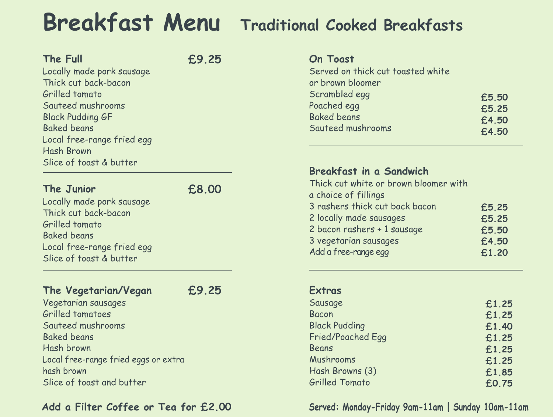# **Breakfast Menu Traditional Cooked Breakfasts**

### **The Full**

Locally made pork sausage Thick cut back-bacon Grilled tomato Sauteed mushrooms Black Pudding GF Baked beans Local free-range fried egg Hash Brown Slice of toast & butter

### **The Junior**

Locally made pork sausage Thick cut back-bacon Grilled tomato Baked beans Local free-range fried egg Slice of toast & butter

### **The Vegetarian/Vegan**

Vegetarian sausages Grilled tomatoes Sauteed mushrooms Baked beans Hash brown Local free-range fried eggs or extra hash brown Slice of toast and butter **£9.25**

**£9.25**





**£8.00**

### **Add a Filter Coffee or Tea for £2.00**

### **On Toast**

Served on thick cut toasted white or brown bloomer Scrambled egg Poached egg Baked beans Sauteed mushrooms

**£5.50 £5.25 £4.50 £4.50**

### **Breakfast in a Sandwich** Thick cut white or brown bloomer with

a choice of fillings rashers thick cut back bacon locally made sausages bacon rashers + 1 sausage vegetarian sausages

Add a free-range egg

**£5.25 £5.25 £5.50 £4.50 £1.20**

### **Extras**

Sausage Bacon Black Pudding Fried/Poached Egg Beans Mushrooms Hash Browns (3) Grilled Tomato

**£1.25 £1.25 £1.40 £1.25 £1.25 £1.25 £1.85 £0.75**

### **Served: Monday-Friday 9am-11am | Sunday 10am-11am**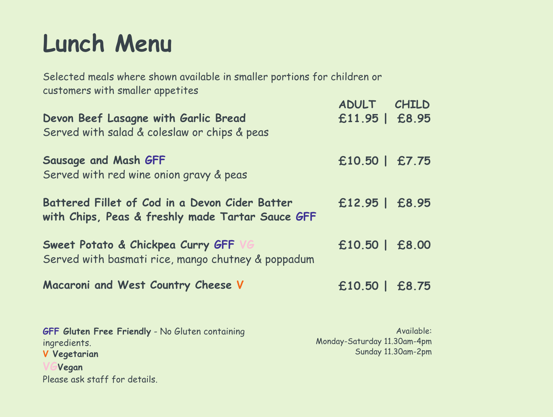# **Lunch Menu**

Selected meals where shown available in smaller portions for children or customers with smaller appetites

**Devon Beef Lasagne with Garlic Bread** Served with salad & coleslaw or chips & peas

**Sweet Potato & Chickpea Curry GFF** Served with basmati rice, mango chutney & poppadum

**Sausage and Mash GFF** Served with red wine onion gravy & peas

**Battered Fillet of Cod in a Devon Cider Batter with Chips, Peas & freshly made Tartar Sauce GFF**

**Macaroni and West Country Cheese V**

# **ADULT CHILD £11.95 | £8.95**

- **£10.50 | £7.75**
- **£12.95 | £8.95**
- 
- **£10.50 | £8.00**
- 
- **£10.50 | £8.75**

**GFF Gluten Free Friendly** - No Gluten containing ingredients. **V Vegetarian VGVegan** Please ask staff for details.

Available: Monday-Saturday 11.30am-4pm Sunday 11.30am-2pm

- 
- 
- 
-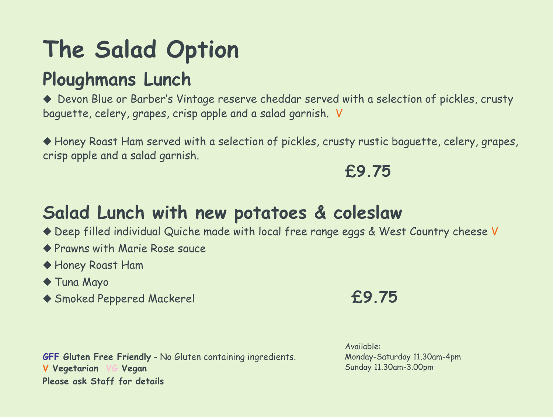# **The Salad Option Ploughmans Lunch**

 $\blacklozenge$  Devon Blue or Barber's Vintage reserve cheddar served with a selection of pickles, crusty baguette, celery, grapes, crisp apple and a salad garnish. V

 $\blacklozenge$  Honey Roast Ham served with a selection of pickles, crusty rustic baguette, celery, grapes, crisp apple and a salad garnish.

**Comment Service Rose Sauce** u Honey Roast Ham u Tuna Mayo ◆ Smoked Peppered Mackerel **2006** 

# **Salad Lunch with new potatoes & coleslaw** ◆ Deep filled individual Quiche made with local free range eggs & West Country cheese V

### **£9.75**

**GFF Gluten Free Friendly** - No Gluten containing ingredients. **V Vegetarian VG Vegan Please ask Staff for details**

Available: Monday-Saturday 11.30am-4pm Sunday 11.30am-3.00pm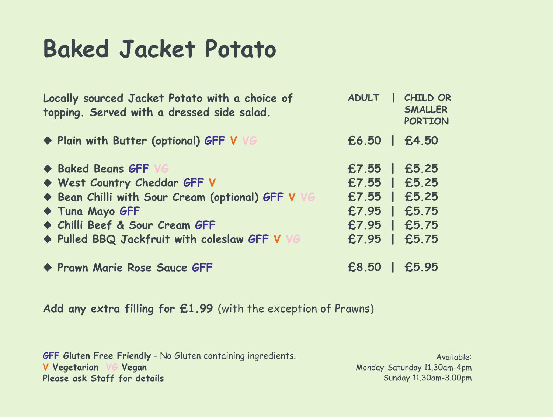# **Baked Jacket Potato**

**Locally sourced Jacket Potato with a choice of topping. Served with a dressed side salad.**

u **Baked Beans GFF VG** u **West Country Cheddar GFF V** u **Bean Chilli with Sour Cream (optional) GFF V VG** u **Tuna Mayo GFF** u **Chilli Beef & Sour Cream GFF**  $\blacklozenge$  **Pulled BBQ** Jackfruit with coleslaw GFF V

### u **Plain with Butter (optional) GFF V VG**

u **Prawn Marie rose Sauce GFF**

### **Add any extra filling for £1.99** (with the exception of Prawns)

Available: Monday-Saturday 11.30am-4pm Sunday 11.30am-3.00pm

**GFF Gluten Free Friendly** - No Gluten containing ingredients. **V Vegetarian VG Vegan Please ask Staff for details**

## **£6.50 | £4.50 £7.55 | £5.25 £7.55 | £5.25 £7.55 | £5.25 £7.95 | £5.75 £7.95 | £5.75 £7.95 | £5.75 £8.50 | £5.95 ADULT | CHILD Or**

**SMALLEr POrTIOn**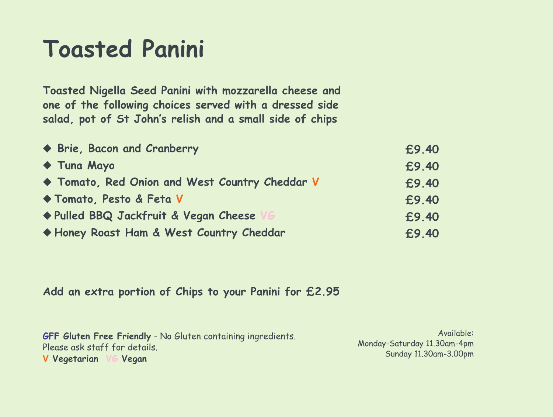# **Toasted Panini**

**£9.40 £9.40 £9.40 £9.40 £9.40 £9.40**

**Toasted nigella Seed Panini with mozzarella cheese and one of the following choices served with a dressed side salad, pot of St John ' s relish and a small side of chips**

u **Brie, Bacon and Cranberry** u **Tuna Mayo** u **Tomato, red Onion and West Country Cheddar V** u **Tomato, Pesto & Feta V**  $\blacklozenge$  Pulled BBQ Jackfruit & Vegan Cheese u **Honey roast Ham & West Country Cheddar**

**Add an extra portion of Chips to your Panini for £2.95**

Available: Monday-Saturday 11.30am-4pm Sunday 11.30am-3.00pm

**GFF Gluten Free Friendly** - No Gluten containing ingredients. Please ask staff for details. **V Vegetarian VG Vegan**